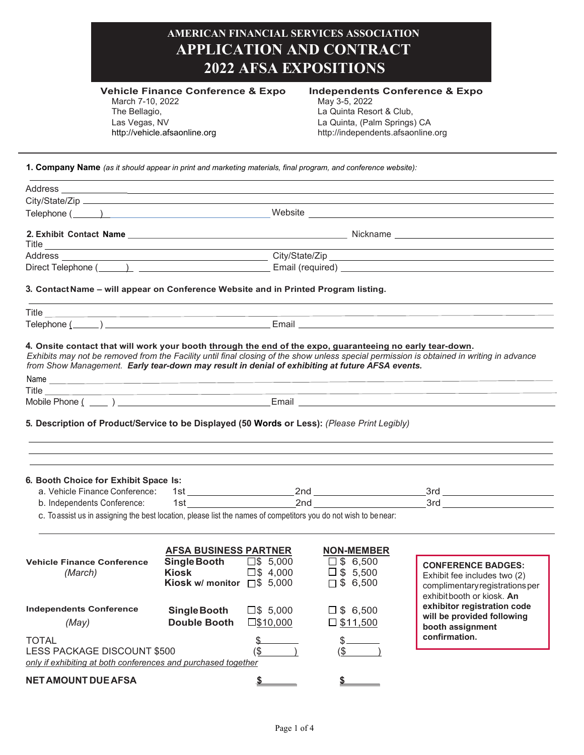| <b>AMERICAN FINANCIAL SERVICES ASSOCIATION</b><br><b>APPLICATION AND CONTRACT</b><br><b>2022 AFSA EXPOSITIONS</b>                              |                                                                                           |                                          |                                                                                                                                                              |                                                                                                                         |  |
|------------------------------------------------------------------------------------------------------------------------------------------------|-------------------------------------------------------------------------------------------|------------------------------------------|--------------------------------------------------------------------------------------------------------------------------------------------------------------|-------------------------------------------------------------------------------------------------------------------------|--|
| March 7-10, 2022<br>The Bellagio,<br>Las Vegas, NV                                                                                             | <b>Vehicle Finance Conference &amp; Expo</b><br>http://vehicle.afsaonline.org             |                                          | <b>Independents Conference &amp; Expo</b><br>May 3-5, 2022<br>La Quinta Resort & Club,<br>La Quinta, (Palm Springs) CA<br>http://independents.afsaonline.org |                                                                                                                         |  |
| 1. Company Name (as it should appear in print and marketing materials, final program, and conference website):                                 |                                                                                           |                                          |                                                                                                                                                              |                                                                                                                         |  |
|                                                                                                                                                |                                                                                           |                                          |                                                                                                                                                              |                                                                                                                         |  |
|                                                                                                                                                |                                                                                           |                                          |                                                                                                                                                              |                                                                                                                         |  |
|                                                                                                                                                |                                                                                           |                                          |                                                                                                                                                              | Telephone ( <u>Website Communication</u> Website Communication of the UNESCONDING COMMUNICATION COMMUNICATION CONTINUES |  |
|                                                                                                                                                |                                                                                           |                                          |                                                                                                                                                              |                                                                                                                         |  |
|                                                                                                                                                |                                                                                           |                                          |                                                                                                                                                              |                                                                                                                         |  |
|                                                                                                                                                |                                                                                           |                                          |                                                                                                                                                              |                                                                                                                         |  |
|                                                                                                                                                |                                                                                           |                                          |                                                                                                                                                              |                                                                                                                         |  |
| 3. Contact Name – will appear on Conference Website and in Printed Program listing.                                                            |                                                                                           |                                          |                                                                                                                                                              | <u> 1989 - Andrea San Andrea San Andrea San Andrea San Andrea San Andrea San Andrea San Andrea San Andrea San Andr</u>  |  |
|                                                                                                                                                |                                                                                           |                                          |                                                                                                                                                              |                                                                                                                         |  |
|                                                                                                                                                |                                                                                           |                                          |                                                                                                                                                              |                                                                                                                         |  |
|                                                                                                                                                |                                                                                           |                                          |                                                                                                                                                              | <u> 1989 - Johann Stoff, die staatskriuwer en beskriuwer en beskriuwer en beskriuwer en beskriuwer en beskriuwer</u>    |  |
|                                                                                                                                                |                                                                                           |                                          |                                                                                                                                                              |                                                                                                                         |  |
| 5. Description of Product/Service to be Displayed (50 Words or Less): (Please Print Legibly)                                                   |                                                                                           |                                          |                                                                                                                                                              |                                                                                                                         |  |
| 6. Booth Choice for Exhibit Space Is:                                                                                                          |                                                                                           |                                          |                                                                                                                                                              |                                                                                                                         |  |
| a. Vehicle Finance Conference:                                                                                                                 |                                                                                           |                                          |                                                                                                                                                              |                                                                                                                         |  |
| b. Independents Conference:<br>c. To assist us in assigning the best location, please list the names of competitors you do not wish to benear: |                                                                                           |                                          |                                                                                                                                                              |                                                                                                                         |  |
| <b>Vehicle Finance Conference</b><br>(March)                                                                                                   | <b>AFSA BUSINESS PARTNER</b><br>Single Booth<br>Kiosk<br>Kiosk w/ monitor $\Box$ \$ 5,000 | $\square$ \$ 5,000<br>$\square$ \$4,000  | <b>NON-MEMBER</b><br>$\square$ \$ 6,500<br>$\square$ \$ 5,500<br>$\Box$ \$ 6,500                                                                             | <b>CONFERENCE BADGES:</b><br>Exhibit fee includes two (2)<br>complimentary registrations per                            |  |
| <b>Independents Conference</b><br>(May)                                                                                                        | Single Booth<br><b>Double Booth</b>                                                       | $\square$ \$ 5,000<br>$\square$ \$10,000 | $\square$ \$ 6,500<br>$\square$ \$11,500                                                                                                                     | exhibit booth or kiosk. An<br>exhibitor registration code<br>will be provided following                                 |  |
| <b>TOTAL</b><br>LESS PACKAGE DISCOUNT \$500<br>only if exhibiting at both conferences and purchased together                                   |                                                                                           | $($ \$                                   | $s$ <sub>____</sub>                                                                                                                                          | booth assignment<br>confirmation.                                                                                       |  |
| <b>NET AMOUNT DUE AFSA</b>                                                                                                                     |                                                                                           |                                          |                                                                                                                                                              |                                                                                                                         |  |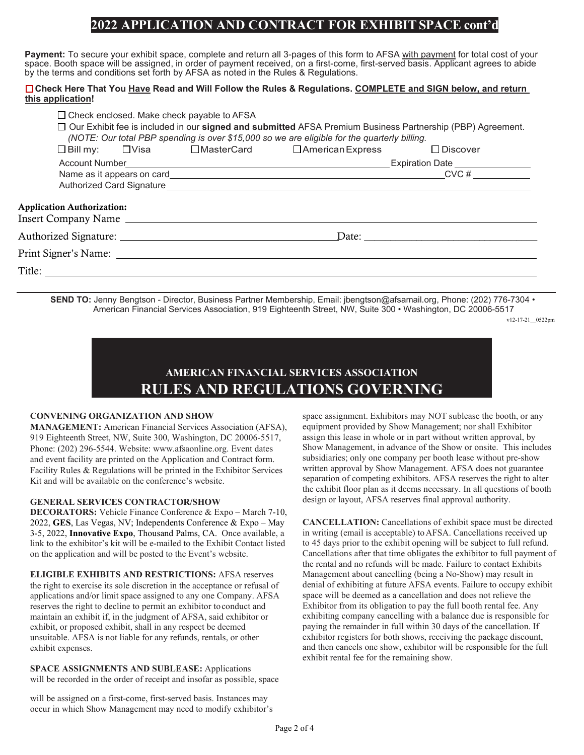## **2022 APPLICATION AND CONTRACT FOR EXHIBITSPACE cont'd**

**Payment:** To secure your exhibit space, complete and return all 3-pages of this form to AFSA with payment for total cost of your space. Booth space will be assigned, in order of payment received, on a first-come, first-served basis. Applicant agrees to abide by the terms and conditions set forth by AFSA as noted in the Rules & Regulations.

## **Check Here That You Have Read and Will Follow the Rules & Regulations. COMPLETE and SIGN below, and return this application!**

|                                   |  | $\Box$ Check enclosed. Make check payable to AFSA | □ Our Exhibit fee is included in our signed and submitted AFSA Premium Business Partnership (PBP) Agreement.<br>(NOTE: Our total PBP spending is over \$15,000 so we are eligible for the quarterly billing. |                                                                                                                                                                                                                                     |  |  |
|-----------------------------------|--|---------------------------------------------------|--------------------------------------------------------------------------------------------------------------------------------------------------------------------------------------------------------------|-------------------------------------------------------------------------------------------------------------------------------------------------------------------------------------------------------------------------------------|--|--|
|                                   |  |                                                   | □Bill my: □Visa □ MasterCard □ American Express                                                                                                                                                              | $\Box$ Discover                                                                                                                                                                                                                     |  |  |
|                                   |  |                                                   |                                                                                                                                                                                                              | Account Number <b>Number 2006</b> Contract the Contract of Contract Contract Contract Contract Contract Contract Contract Contract Contract Contract Contract Contract Contract Contract Contract Contract Contract Contract Contra |  |  |
|                                   |  |                                                   |                                                                                                                                                                                                              | $CVC \#$                                                                                                                                                                                                                            |  |  |
|                                   |  |                                                   |                                                                                                                                                                                                              |                                                                                                                                                                                                                                     |  |  |
| <b>Application Authorization:</b> |  | Insert Company Name                               |                                                                                                                                                                                                              |                                                                                                                                                                                                                                     |  |  |
|                                   |  | Authorized Signature:                             |                                                                                                                                                                                                              | Date: the contract of the contract of the contract of the contract of the contract of the contract of the contract of the contract of the contract of the contract of the contract of the contract of the contract of the cont      |  |  |
|                                   |  | Print Signer's Name:                              |                                                                                                                                                                                                              |                                                                                                                                                                                                                                     |  |  |
|                                   |  |                                                   |                                                                                                                                                                                                              |                                                                                                                                                                                                                                     |  |  |
|                                   |  |                                                   |                                                                                                                                                                                                              |                                                                                                                                                                                                                                     |  |  |

**SEND TO:** Jenny Bengtson - Director, Business Partner Membership, Email[: jbengtson@afsamail.org,](mailto:jbengtson@afsamail.org) Phone: (202) 776-7304 • American Financial Services Association, 919 Eighteenth Street, NW, Suite 300 • Washington, DC 20006-5517

v12-17-21\_\_0522pm

## **AMERICAN FINANCIAL SERVICES ASSOCIATION RULES AND REGULATIONS GOVERNING**

## **CONVENING ORGANIZATION AND SHOW**

**MANAGEMENT:** American Financial Services Association (AFSA), 919 Eighteenth Street, NW, Suite 300, Washington, DC 20006-5517, Phone: (202) 296-5544. Website[: www.afsaonline.org.](http://www.afsaonline.org/) Event dates and event facility are printed on the Application and Contract form. Facility Rules & Regulations will be printed in the Exhibitor Services Kit and will be available on the conference's website.

## **GENERAL SERVICES CONTRACTOR/SHOW**

**DECORATORS:** Vehicle Finance Conference & Expo – March 7-10, 2022, **GES**, Las Vegas, NV; Independents Conference & Expo – May 3-5, 2022, **Innovative Expo**, Thousand Palms, CA. Once available, a link to the exhibitor's kit will be e-mailed to the Exhibit Contact listed on the application and will be posted to the Event's website.

**ELIGIBLE EXHIBITS AND RESTRICTIONS:** AFSA reserves the right to exercise its sole discretion in the acceptance or refusal of applications and/or limit space assigned to any one Company. AFSA reserves the right to decline to permit an exhibitor toconduct and maintain an exhibit if, in the judgment of AFSA, said exhibitor or exhibit, or proposed exhibit, shall in any respect be deemed unsuitable. AFSA is not liable for any refunds, rentals, or other exhibit expenses.

**SPACE ASSIGNMENTS AND SUBLEASE:** Applications will be recorded in the order of receipt and insofar as possible, space

will be assigned on a first-come, first-served basis. Instances may occur in which Show Management may need to modify exhibitor's

**THE 2022** SHOW space assignment. Exhibitors may NOT sublease the booth, or any equipment provided by Show Management; nor shall Exhibitor assign this lease in whole or in part without written approval, by Show Management, in advance of the Show or onsite. This includes subsidiaries; only one company per booth lease without pre-show written approval by Show Management. AFSA does not guarantee separation of competing exhibitors. AFSA reserves the right to alter the exhibit floor plan as it deems necessary. In all questions of booth design or layout, AFSA reserves final approval authority.

> **CANCELLATION:** Cancellations of exhibit space must be directed in writing (email is acceptable) toAFSA. Cancellations received up to 45 days prior to the exhibit opening will be subject to full refund. Cancellations after that time obligates the exhibitor to full payment of the rental and no refunds will be made. Failure to contact Exhibits Management about cancelling (being a No-Show) may result in denial of exhibiting at future AFSA events. Failure to occupy exhibit space will be deemed as a cancellation and does not relieve the Exhibitor from its obligation to pay the full booth rental fee. Any exhibiting company cancelling with a balance due is responsible for paying the remainder in full within 30 days of the cancellation. If exhibitor registers for both shows, receiving the package discount, and then cancels one show, exhibitor will be responsible for the full exhibit rental fee for the remaining show.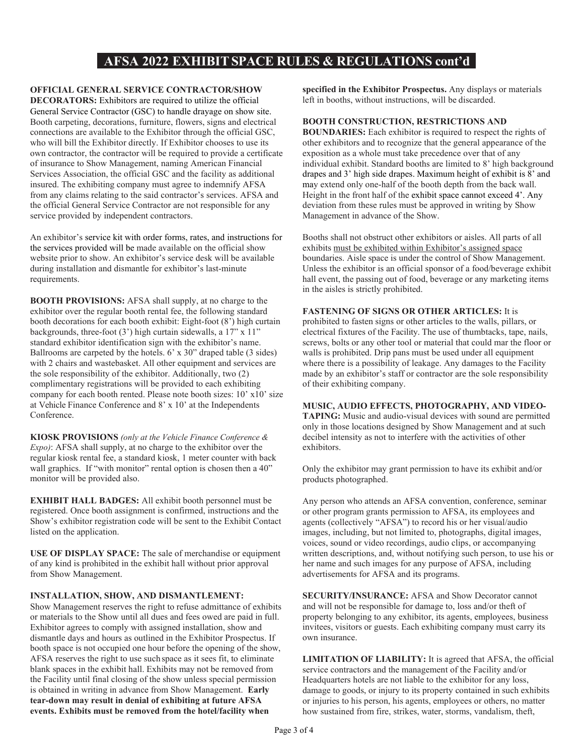# **RULES AND REGULATIONS GOVERNING AFSA 2022 EXHIBIT SPACE RULES & REGULATIONS cont'd**

## **OFFICIAL GENERAL SERVICE CONTRACTOR/SHOW**

**DECORATORS:** Exhibitors are required to utilize the official General Service Contractor (GSC) to handle drayage on show site. Booth carpeting, decorations, furniture, flowers, signs and electrical connections are available to the Exhibitor through the official GSC, who will bill the Exhibitor directly. If Exhibitor chooses to use its own contractor, the contractor will be required to provide a certificate of insurance to Show Management, naming American Financial Services Association, the official GSC and the facility as additional insured. The exhibiting company must agree to indemnify AFSA from any claims relating to the said contractor's services. AFSA and the official General Service Contractor are not responsible for any service provided by independent contractors.

An exhibitor's service kit with order forms, rates, and instructions for the services provided will be made available on the official show website prior to show. An exhibitor's service desk will be available during installation and dismantle for exhibitor's last-minute requirements.

**BOOTH PROVISIONS:** AFSA shall supply, at no charge to the exhibitor over the regular booth rental fee, the following standard booth decorations for each booth exhibit: Eight-foot (8') high curtain backgrounds, three-foot (3') high curtain sidewalls, a 17" x 11" standard exhibitor identification sign with the exhibitor's name. Ballrooms are carpeted by the hotels. 6' x 30" draped table (3 sides) with 2 chairs and wastebasket. All other equipment and services are the sole responsibility of the exhibitor. Additionally, two (2) complimentary registrations will be provided to each exhibiting company for each booth rented. Please note booth sizes: 10' x10' size at Vehicle Finance Conference and 8' x 10' at the Independents Conference.

**KIOSK PROVISIONS** *(only at the Vehicle Finance Conference & Expo)*: AFSA shall supply, at no charge to the exhibitor over the regular kiosk rental fee, a standard kiosk, 1 meter counter with back wall graphics. If "with monitor" rental option is chosen then a 40" monitor will be provided also.

**EXHIBIT HALL BADGES:** All exhibit booth personnel must be registered. Once booth assignment is confirmed, instructions and the Show's exhibitor registration code will be sent to the Exhibit Contact listed on the application.

**USE OF DISPLAY SPACE:** The sale of merchandise or equipment of any kind is prohibited in the exhibit hall without prior approval from Show Management.

#### **INSTALLATION, SHOW, AND DISMANTLEMENT:**

Show Management reserves the right to refuse admittance of exhibits or materials to the Show until all dues and fees owed are paid in full. Exhibitor agrees to comply with assigned installation, show and dismantle days and hours as outlined in the Exhibitor Prospectus. If booth space is not occupied one hour before the opening of the show, AFSA reserves the right to use such space as it sees fit, to eliminate blank spaces in the exhibit hall. Exhibits may not be removed from the Facility until final closing of the show unless special permission is obtained in writing in advance from Show Management. **Early tear-down may result in denial of exhibiting at future AFSA events. Exhibits must be removed from the hotel/facility when** 

**specified in the Exhibitor Prospectus.** Any displays or materials left in booths, without instructions, will be discarded.

## **BOOTH CONSTRUCTION, RESTRICTIONS AND**

**BOUNDARIES:** Each exhibitor is required to respect the rights of other exhibitors and to recognize that the general appearance of the exposition as a whole must take precedence over that of any individual exhibit. Standard booths are limited to 8' high background drapes and 3' high side drapes. Maximum height of exhibit is 8' and may extend only one-half of the booth depth from the back wall. Height in the front half of the exhibit space cannot exceed 4'. Any deviation from these rules must be approved in writing by Show Management in advance of the Show.

Booths shall not obstruct other exhibitors or aisles. All parts of all exhibits must be exhibited within Exhibitor's assigned space boundaries. Aisle space is under the control of Show Management. Unless the exhibitor is an official sponsor of a food/beverage exhibit hall event, the passing out of food, beverage or any marketing items in the aisles is strictly prohibited.

## **FASTENING OF SIGNS OR OTHER ARTICLES:** It is

prohibited to fasten signs or other articles to the walls, pillars, or electrical fixtures of the Facility. The use of thumbtacks, tape, nails, screws, bolts or any other tool or material that could mar the floor or walls is prohibited. Drip pans must be used under all equipment where there is a possibility of leakage. Any damages to the Facility made by an exhibitor's staff or contractor are the sole responsibility of their exhibiting company.

### **MUSIC, AUDIO EFFECTS, PHOTOGRAPHY, AND VIDEO-**

**TAPING:** Music and audio-visual devices with sound are permitted only in those locations designed by Show Management and at such decibel intensity as not to interfere with the activities of other exhibitors.

Only the exhibitor may grant permission to have its exhibit and/or products photographed.

Any person who attends an AFSA convention, conference, seminar or other program grants permission to AFSA, its employees and agents (collectively "AFSA") to record his or her visual/audio images, including, but not limited to, photographs, digital images, voices, sound or video recordings, audio clips, or accompanying written descriptions, and, without notifying such person, to use his or her name and such images for any purpose of AFSA, including advertisements for AFSA and its programs.

**SECURITY/INSURANCE:** AFSA and Show Decorator cannot and will not be responsible for damage to, loss and/or theft of property belonging to any exhibitor, its agents, employees, business invitees, visitors or guests. Each exhibiting company must carry its own insurance.

**LIMITATION OF LIABILITY:** It is agreed that AFSA, the official service contractors and the management of the Facility and/or Headquarters hotels are not liable to the exhibitor for any loss, damage to goods, or injury to its property contained in such exhibits or injuries to his person, his agents, employees or others, no matter how sustained from fire, strikes, water, storms, vandalism, theft,